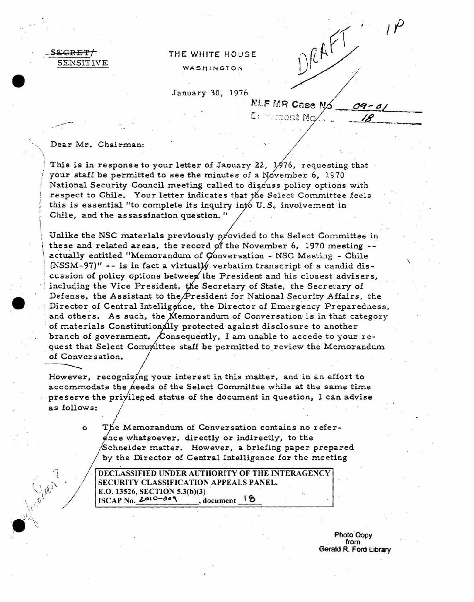<del>ecret/</del> SENSITIVE

## THE WHITE HOUSE

WASHINGTON

January 30, 1976

**NLF MR Case No** 

ont No

DRAFT

Dear Mr. Chairman:

 $\bigvee_{\beta} \mathfrak{G}_{\beta}$ 

This is in response to your letter of January 22, 1976, requesting that your staff be permitted to see the minutes of a November 6, 1970 National Security Council meeting called to discuss policy options with respect to Chile. Your letter indicates that the Select Committee feels this is essential "to complete its inquiry into U.S. involvement in Chile, and the assassination question."

Unlike the NSC materials previously provided to the Select Committee in these and related areas, the record of the November 6, 1970 meeting -actually entitled "Memorandum of Conversation - NSC Meeting - Chile (NSSM-97)" -- is in fact a virtually verbatim transcript of a candid discussion of policy options between the President and his closest advisers, including the Vice President, the Secretary of State, the Secretary of Defense, the Assistant to the President for National Security Affairs, the Director of Central Intelligence, the Director of Emergency Preparedness, and others. As such, the Memorandum of Conversation is in that category of materials Constitutionally protected against disclosure to another branch of government. Consequently, I am unable to accede to your request that Select Committee staff be permitted to review the Memorandum of Conversation.

However, recognizing your interest in this matter, and in an effort to accommodate the needs of the Select Committee while at the same time preserve the privileged status of the document in question, I can advise as follows:

> The Memorandum of Conversation contains no refer- $\circ$ ence whatsoever, directly or indirectly, to the Schneider matter. However, a briefing paper prepared by the Director of Central Intelligence for the meeting

DECLASSIFIED UNDER AUTHORITY OF THE INTERAGENCY SECURITY CLASSIFICATION APPEALS PANEL. E.O. 13526, SECTION 5.3(b)(3)  $ISCAP$  No.  $2010 - 009$ , document 18

> **Photo Copy** from Gerald R. Ford Library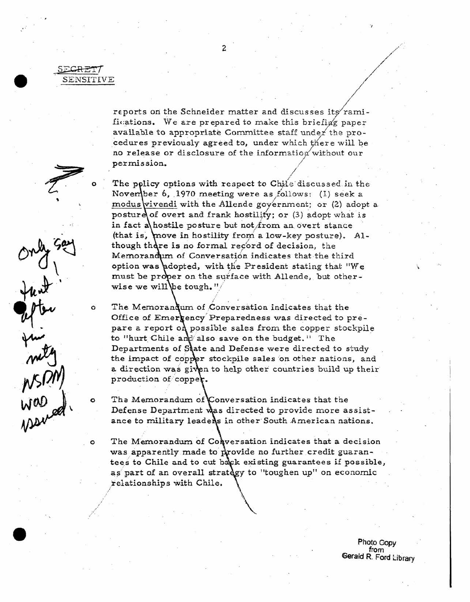SECRET/ SENSITIVE

 $\Omega$ 

 $\circ$ 

 $\Omega$ 

apter<br>1

reports on the Schneider matter and discusses its ramifications. We are prepared to make this briefing paper available to appropriate Committee staff under the procedures previously agreed to, under which there will be no release or disclosure of the information without our permission.

The policy options with respect to Chile discussed in the November 6, 1970 meeting were as follows: (I) seek a modus vivendi with the Allende government; or (2) adopt a posture of overt and frank hostility; or (3) adopt what is in fact a hostile posture but not from an overt stance (that is, move in hostility from a low-key posture). Although there is no formal record of decision, the Memorandum of Conversation indicates that the third option was adopted, with the President stating that "We must be proper on the surface with Allende, but otherwise we will be tough."

The Memorandum of Conversation indicates that the Office of Emergency Preparedness was directed to prepare a report of possible sales from the copper stockpile to "hurt Chile and also save on the budget." The Departments of State and Defense were directed to study the impact of copper stockpile sales on other nations, and a direction was given to help other countries build up their production of copper.

The Memorandum of Conversation indicates that the Defense Department was directed to provide more assistance to military leaders in other South American nations.

The Memorandum of Conversation indicates that a decision was apparently made to provide no further credit guarantees to Chile and to cut back existing guarantees if possible, as part of an overall strategy to "toughen up" on economic relationships with Chile.

> Photo Copy from Gerald R. Ford Library

 $\overline{c}$